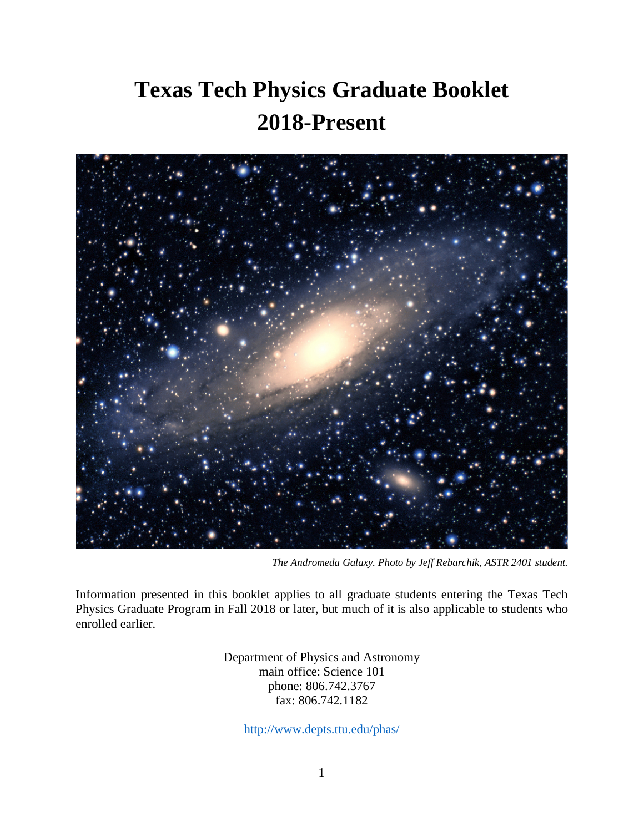# **Texas Tech Physics Graduate Booklet 2018-Present**



*The Andromeda Galaxy. Photo by Jeff Rebarchik, ASTR 2401 student.*

Information presented in this booklet applies to all graduate students entering the Texas Tech Physics Graduate Program in Fall 2018 or later, but much of it is also applicable to students who enrolled earlier.

> Department of Physics and Astronomy main office: Science 101 phone: 806.742.3767 fax: 806.742.1182

> > <http://www.depts.ttu.edu/phas/>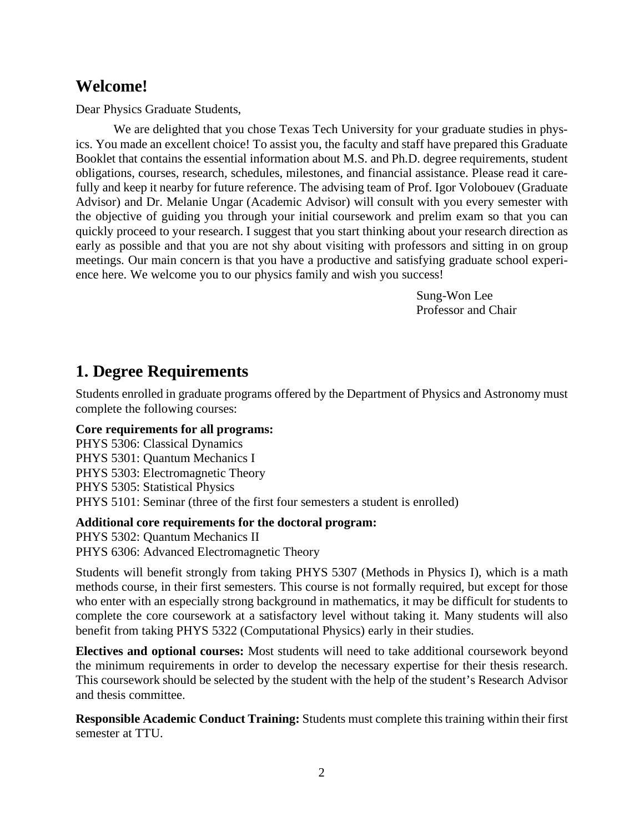## **Welcome!**

Dear Physics Graduate Students,

We are delighted that you chose Texas Tech University for your graduate studies in physics. You made an excellent choice! To assist you, the faculty and staff have prepared this Graduate Booklet that contains the essential information about M.S. and Ph.D. degree requirements, student obligations, courses, research, schedules, milestones, and financial assistance. Please read it carefully and keep it nearby for future reference. The advising team of Prof. Igor Volobouev (Graduate Advisor) and Dr. Melanie Ungar (Academic Advisor) will consult with you every semester with the objective of guiding you through your initial coursework and prelim exam so that you can quickly proceed to your research. I suggest that you start thinking about your research direction as early as possible and that you are not shy about visiting with professors and sitting in on group meetings. Our main concern is that you have a productive and satisfying graduate school experience here. We welcome you to our physics family and wish you success!

> Sung-Won Lee Professor and Chair

## **1. Degree Requirements**

Students enrolled in graduate programs offered by the Department of Physics and Astronomy must complete the following courses:

#### **Core requirements for all programs:**

PHYS 5306: Classical Dynamics PHYS 5301: Quantum Mechanics I PHYS 5303: Electromagnetic Theory PHYS 5305: Statistical Physics PHYS 5101: Seminar (three of the first four semesters a student is enrolled)

#### **Additional core requirements for the doctoral program:**

PHYS 5302: Quantum Mechanics II

PHYS 6306: Advanced Electromagnetic Theory

Students will benefit strongly from taking PHYS 5307 (Methods in Physics I), which is a math methods course, in their first semesters. This course is not formally required, but except for those who enter with an especially strong background in mathematics, it may be difficult for students to complete the core coursework at a satisfactory level without taking it. Many students will also benefit from taking PHYS 5322 (Computational Physics) early in their studies.

**Electives and optional courses:** Most students will need to take additional coursework beyond the minimum requirements in order to develop the necessary expertise for their thesis research. This coursework should be selected by the student with the help of the student's Research Advisor and thesis committee.

**Responsible Academic Conduct Training:** Students must complete this training within their first semester at TTU.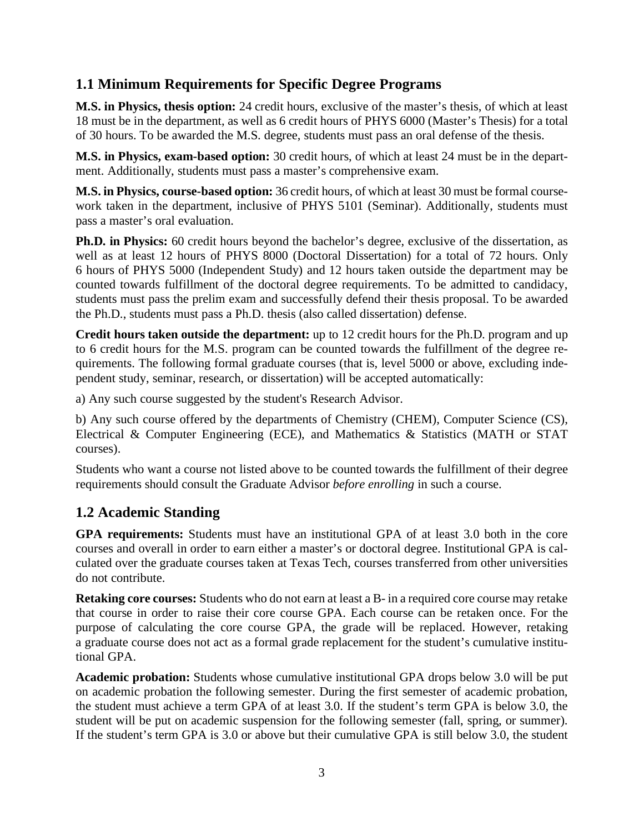#### **1.1 Minimum Requirements for Specific Degree Programs**

**M.S. in Physics, thesis option:** 24 credit hours, exclusive of the master's thesis, of which at least 18 must be in the department, as well as 6 credit hours of PHYS 6000 (Master's Thesis) for a total of 30 hours. To be awarded the M.S. degree, students must pass an oral defense of the thesis.

**M.S. in Physics, exam-based option:** 30 credit hours, of which at least 24 must be in the department. Additionally, students must pass a master's comprehensive exam.

**M.S. in Physics, course-based option:** 36 credit hours, of which at least 30 must be formal coursework taken in the department, inclusive of PHYS 5101 (Seminar). Additionally, students must pass a master's oral evaluation.

**Ph.D. in Physics:** 60 credit hours beyond the bachelor's degree, exclusive of the dissertation, as well as at least 12 hours of PHYS 8000 (Doctoral Dissertation) for a total of 72 hours. Only 6 hours of PHYS 5000 (Independent Study) and 12 hours taken outside the department may be counted towards fulfillment of the doctoral degree requirements. To be admitted to candidacy, students must pass the prelim exam and successfully defend their thesis proposal. To be awarded the Ph.D., students must pass a Ph.D. thesis (also called dissertation) defense.

**Credit hours taken outside the department:** up to 12 credit hours for the Ph.D. program and up to 6 credit hours for the M.S. program can be counted towards the fulfillment of the degree requirements. The following formal graduate courses (that is, level 5000 or above, excluding independent study, seminar, research, or dissertation) will be accepted automatically:

a) Any such course suggested by the student's Research Advisor.

b) Any such course offered by the departments of Chemistry (CHEM), Computer Science (CS), Electrical & Computer Engineering (ECE), and Mathematics & Statistics (MATH or STAT courses).

Students who want a course not listed above to be counted towards the fulfillment of their degree requirements should consult the Graduate Advisor *before enrolling* in such a course.

#### **1.2 Academic Standing**

**GPA requirements:** Students must have an institutional GPA of at least 3.0 both in the core courses and overall in order to earn either a master's or doctoral degree. Institutional GPA is calculated over the graduate courses taken at Texas Tech, courses transferred from other universities do not contribute.

**Retaking core courses:** Students who do not earn at least a B- in a required core course may retake that course in order to raise their core course GPA. Each course can be retaken once. For the purpose of calculating the core course GPA, the grade will be replaced. However, retaking a graduate course does not act as a formal grade replacement for the student's cumulative institutional GPA.

**Academic probation:** Students whose cumulative institutional GPA drops below 3.0 will be put on academic probation the following semester. During the first semester of academic probation, the student must achieve a term GPA of at least 3.0. If the student's term GPA is below 3.0, the student will be put on academic suspension for the following semester (fall, spring, or summer). If the student's term GPA is 3.0 or above but their cumulative GPA is still below 3.0, the student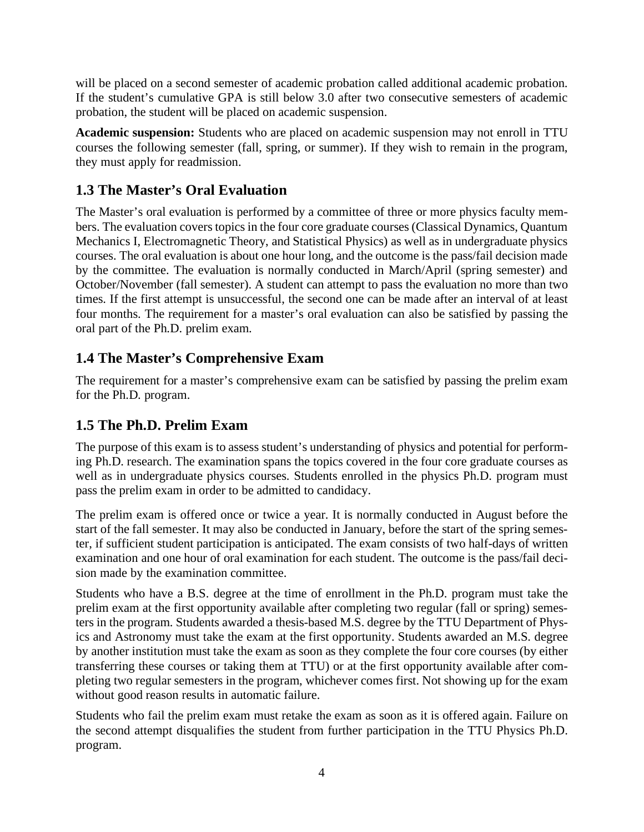will be placed on a second semester of academic probation called additional academic probation. If the student's cumulative GPA is still below 3.0 after two consecutive semesters of academic probation, the student will be placed on academic suspension.

**Academic suspension:** Students who are placed on academic suspension may not enroll in TTU courses the following semester (fall, spring, or summer). If they wish to remain in the program, they must apply for readmission.

## **1.3 The Master's Oral Evaluation**

The Master's oral evaluation is performed by a committee of three or more physics faculty members. The evaluation covers topics in the four core graduate courses (Classical Dynamics, Quantum Mechanics I, Electromagnetic Theory, and Statistical Physics) as well as in undergraduate physics courses. The oral evaluation is about one hour long, and the outcome is the pass/fail decision made by the committee. The evaluation is normally conducted in March/April (spring semester) and October/November (fall semester). A student can attempt to pass the evaluation no more than two times. If the first attempt is unsuccessful, the second one can be made after an interval of at least four months. The requirement for a master's oral evaluation can also be satisfied by passing the oral part of the Ph.D. prelim exam.

#### **1.4 The Master's Comprehensive Exam**

The requirement for a master's comprehensive exam can be satisfied by passing the prelim exam for the Ph.D. program.

#### **1.5 The Ph.D. Prelim Exam**

The purpose of this exam is to assess student's understanding of physics and potential for performing Ph.D. research. The examination spans the topics covered in the four core graduate courses as well as in undergraduate physics courses. Students enrolled in the physics Ph.D. program must pass the prelim exam in order to be admitted to candidacy.

The prelim exam is offered once or twice a year. It is normally conducted in August before the start of the fall semester. It may also be conducted in January, before the start of the spring semester, if sufficient student participation is anticipated. The exam consists of two half-days of written examination and one hour of oral examination for each student. The outcome is the pass/fail decision made by the examination committee.

Students who have a B.S. degree at the time of enrollment in the Ph.D. program must take the prelim exam at the first opportunity available after completing two regular (fall or spring) semesters in the program. Students awarded a thesis-based M.S. degree by the TTU Department of Physics and Astronomy must take the exam at the first opportunity. Students awarded an M.S. degree by another institution must take the exam as soon as they complete the four core courses (by either transferring these courses or taking them at TTU) or at the first opportunity available after completing two regular semesters in the program, whichever comes first. Not showing up for the exam without good reason results in automatic failure.

Students who fail the prelim exam must retake the exam as soon as it is offered again. Failure on the second attempt disqualifies the student from further participation in the TTU Physics Ph.D. program.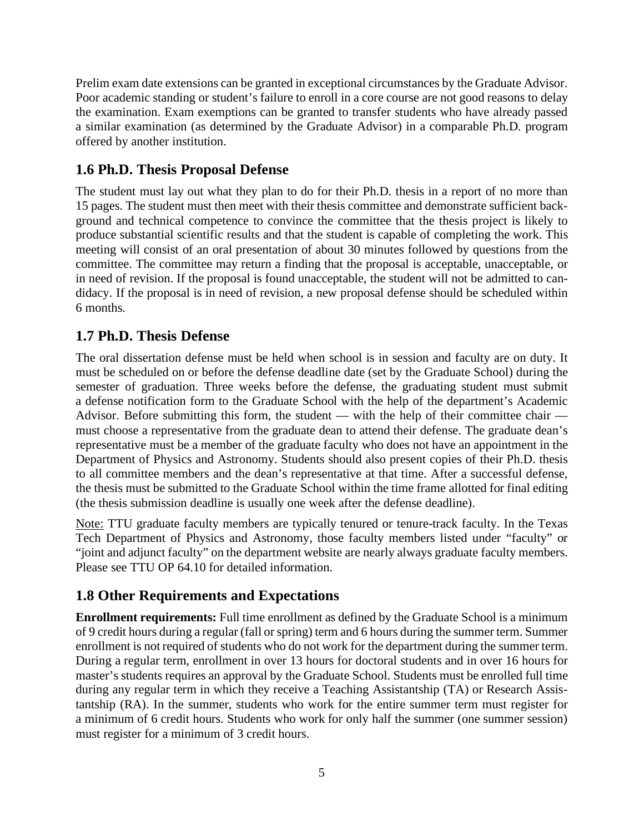Prelim exam date extensions can be granted in exceptional circumstances by the Graduate Advisor. Poor academic standing or student's failure to enroll in a core course are not good reasons to delay the examination. Exam exemptions can be granted to transfer students who have already passed a similar examination (as determined by the Graduate Advisor) in a comparable Ph.D. program offered by another institution.

#### **1.6 Ph.D. Thesis Proposal Defense**

The student must lay out what they plan to do for their Ph.D. thesis in a report of no more than 15 pages. The student must then meet with their thesis committee and demonstrate sufficient background and technical competence to convince the committee that the thesis project is likely to produce substantial scientific results and that the student is capable of completing the work. This meeting will consist of an oral presentation of about 30 minutes followed by questions from the committee. The committee may return a finding that the proposal is acceptable, unacceptable, or in need of revision. If the proposal is found unacceptable, the student will not be admitted to candidacy. If the proposal is in need of revision, a new proposal defense should be scheduled within 6 months.

#### **1.7 Ph.D. Thesis Defense**

The oral dissertation defense must be held when school is in session and faculty are on duty. It must be scheduled on or before the defense deadline date (set by the Graduate School) during the semester of graduation. Three weeks before the defense, the graduating student must submit a defense notification form to the Graduate School with the help of the department's Academic Advisor. Before submitting this form, the student — with the help of their committee chair must choose a representative from the graduate dean to attend their defense. The graduate dean's representative must be a member of the graduate faculty who does not have an appointment in the Department of Physics and Astronomy. Students should also present copies of their Ph.D. thesis to all committee members and the dean's representative at that time. After a successful defense, the thesis must be submitted to the Graduate School within the time frame allotted for final editing (the thesis submission deadline is usually one week after the defense deadline).

Note: TTU graduate faculty members are typically tenured or tenure-track faculty. In the Texas Tech Department of Physics and Astronomy, those faculty members listed under "faculty" or "joint and adjunct faculty" on the department website are nearly always graduate faculty members. Please see TTU OP 64.10 for detailed information.

#### **1.8 Other Requirements and Expectations**

**Enrollment requirements:** Full time enrollment as defined by the Graduate School is a minimum of 9 credit hours during a regular (fall or spring) term and 6 hours during the summer term. Summer enrollment is not required of students who do not work for the department during the summer term. During a regular term, enrollment in over 13 hours for doctoral students and in over 16 hours for master's students requires an approval by the Graduate School. Students must be enrolled full time during any regular term in which they receive a Teaching Assistantship (TA) or Research Assistantship (RA). In the summer, students who work for the entire summer term must register for a minimum of 6 credit hours. Students who work for only half the summer (one summer session) must register for a minimum of 3 credit hours.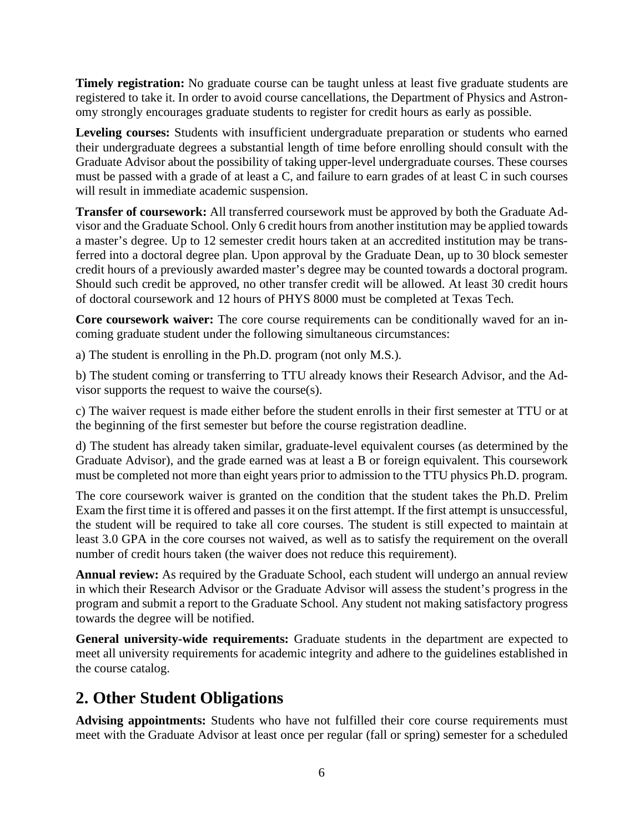**Timely registration:** No graduate course can be taught unless at least five graduate students are registered to take it. In order to avoid course cancellations, the Department of Physics and Astronomy strongly encourages graduate students to register for credit hours as early as possible.

**Leveling courses:** Students with insufficient undergraduate preparation or students who earned their undergraduate degrees a substantial length of time before enrolling should consult with the Graduate Advisor about the possibility of taking upper-level undergraduate courses. These courses must be passed with a grade of at least a C, and failure to earn grades of at least C in such courses will result in immediate academic suspension.

**Transfer of coursework:** All transferred coursework must be approved by both the Graduate Advisor and the Graduate School. Only 6 credit hours from another institution may be applied towards a master's degree. Up to 12 semester credit hours taken at an accredited institution may be transferred into a doctoral degree plan. Upon approval by the Graduate Dean, up to 30 block semester credit hours of a previously awarded master's degree may be counted towards a doctoral program. Should such credit be approved, no other transfer credit will be allowed. At least 30 credit hours of doctoral coursework and 12 hours of PHYS 8000 must be completed at Texas Tech.

**Core coursework waiver:** The core course requirements can be conditionally waved for an incoming graduate student under the following simultaneous circumstances:

a) The student is enrolling in the Ph.D. program (not only M.S.).

b) The student coming or transferring to TTU already knows their Research Advisor, and the Advisor supports the request to waive the course(s).

c) The waiver request is made either before the student enrolls in their first semester at TTU or at the beginning of the first semester but before the course registration deadline.

d) The student has already taken similar, graduate-level equivalent courses (as determined by the Graduate Advisor), and the grade earned was at least a B or foreign equivalent. This coursework must be completed not more than eight years prior to admission to the TTU physics Ph.D. program.

The core coursework waiver is granted on the condition that the student takes the Ph.D. Prelim Exam the first time it is offered and passes it on the first attempt. If the first attempt is unsuccessful, the student will be required to take all core courses. The student is still expected to maintain at least 3.0 GPA in the core courses not waived, as well as to satisfy the requirement on the overall number of credit hours taken (the waiver does not reduce this requirement).

**Annual review:** As required by the Graduate School, each student will undergo an annual review in which their Research Advisor or the Graduate Advisor will assess the student's progress in the program and submit a report to the Graduate School. Any student not making satisfactory progress towards the degree will be notified.

**General university-wide requirements:** Graduate students in the department are expected to meet all university requirements for academic integrity and adhere to the guidelines established in the course catalog.

# **2. Other Student Obligations**

**Advising appointments:** Students who have not fulfilled their core course requirements must meet with the Graduate Advisor at least once per regular (fall or spring) semester for a scheduled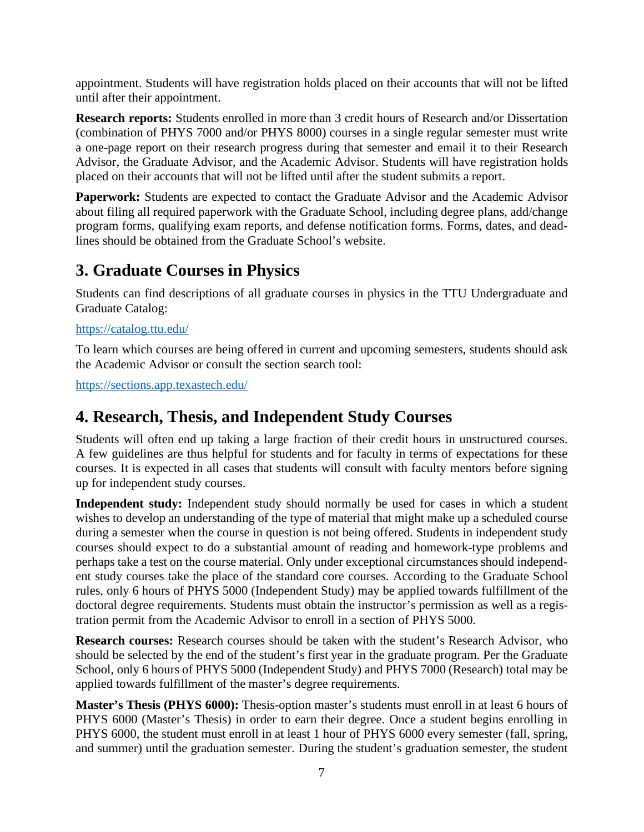appointment. Students will have registration holds placed on their accounts that will not be lifted until after their appointment.

**Research reports:** Students enrolled in more than 3 credit hours of Research and/or Dissertation (combination of PHYS 7000 and/or PHYS 8000) courses in a single regular semester must write a one-page report on their research progress during that semester and email it to their Research Advisor, the Graduate Advisor, and the Academic Advisor. Students will have registration holds placed on their accounts that will not be lifted until after the student submits a report.

**Paperwork:** Students are expected to contact the Graduate Advisor and the Academic Advisor about filing all required paperwork with the Graduate School, including degree plans, add/change program forms, qualifying exam reports, and defense notification forms. Forms, dates, and deadlines should be obtained from the Graduate School's website.

## **3. Graduate Courses in Physics**

Students can find descriptions of all graduate courses in physics in the TTU Undergraduate and Graduate Catalog:

#### <https://catalog.ttu.edu/>

To learn which courses are being offered in current and upcoming semesters, students should ask the Academic Advisor or consult the section search tool:

<https://sections.app.texastech.edu/>

## **4. Research, Thesis, and Independent Study Courses**

Students will often end up taking a large fraction of their credit hours in unstructured courses. A few guidelines are thus helpful for students and for faculty in terms of expectations for these courses. It is expected in all cases that students will consult with faculty mentors before signing up for independent study courses.

**Independent study:** Independent study should normally be used for cases in which a student wishes to develop an understanding of the type of material that might make up a scheduled course during a semester when the course in question is not being offered. Students in independent study courses should expect to do a substantial amount of reading and homework-type problems and perhaps take a test on the course material. Only under exceptional circumstances should independent study courses take the place of the standard core courses. According to the Graduate School rules, only 6 hours of PHYS 5000 (Independent Study) may be applied towards fulfillment of the doctoral degree requirements. Students must obtain the instructor's permission as well as a registration permit from the Academic Advisor to enroll in a section of PHYS 5000.

**Research courses:** Research courses should be taken with the student's Research Advisor, who should be selected by the end of the student's first year in the graduate program. Per the Graduate School, only 6 hours of PHYS 5000 (Independent Study) and PHYS 7000 (Research) total may be applied towards fulfillment of the master's degree requirements.

**Master's Thesis (PHYS 6000):** Thesis-option master's students must enroll in at least 6 hours of PHYS 6000 (Master's Thesis) in order to earn their degree. Once a student begins enrolling in PHYS 6000, the student must enroll in at least 1 hour of PHYS 6000 every semester (fall, spring, and summer) until the graduation semester. During the student's graduation semester, the student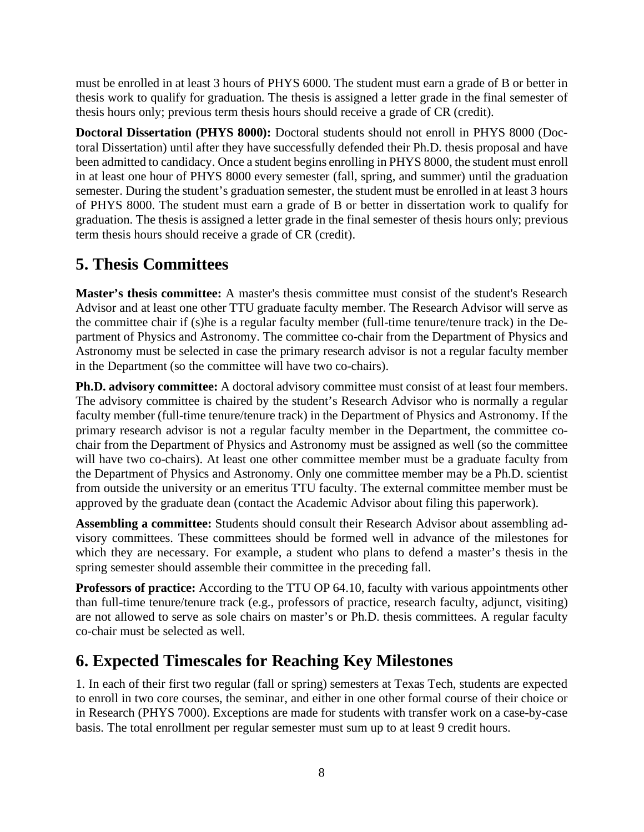must be enrolled in at least 3 hours of PHYS 6000. The student must earn a grade of B or better in thesis work to qualify for graduation. The thesis is assigned a letter grade in the final semester of thesis hours only; previous term thesis hours should receive a grade of CR (credit).

**Doctoral Dissertation (PHYS 8000):** Doctoral students should not enroll in PHYS 8000 (Doctoral Dissertation) until after they have successfully defended their Ph.D. thesis proposal and have been admitted to candidacy. Once a student begins enrolling in PHYS 8000, the student must enroll in at least one hour of PHYS 8000 every semester (fall, spring, and summer) until the graduation semester. During the student's graduation semester, the student must be enrolled in at least 3 hours of PHYS 8000. The student must earn a grade of B or better in dissertation work to qualify for graduation. The thesis is assigned a letter grade in the final semester of thesis hours only; previous term thesis hours should receive a grade of CR (credit).

# **5. Thesis Committees**

**Master's thesis committee:** A master's thesis committee must consist of the student's Research Advisor and at least one other TTU graduate faculty member. The Research Advisor will serve as the committee chair if (s)he is a regular faculty member (full-time tenure/tenure track) in the Department of Physics and Astronomy. The committee co-chair from the Department of Physics and Astronomy must be selected in case the primary research advisor is not a regular faculty member in the Department (so the committee will have two co-chairs).

**Ph.D. advisory committee:** A doctoral advisory committee must consist of at least four members. The advisory committee is chaired by the student's Research Advisor who is normally a regular faculty member (full-time tenure/tenure track) in the Department of Physics and Astronomy. If the primary research advisor is not a regular faculty member in the Department, the committee cochair from the Department of Physics and Astronomy must be assigned as well (so the committee will have two co-chairs). At least one other committee member must be a graduate faculty from the Department of Physics and Astronomy. Only one committee member may be a Ph.D. scientist from outside the university or an emeritus TTU faculty. The external committee member must be approved by the graduate dean (contact the Academic Advisor about filing this paperwork).

**Assembling a committee:** Students should consult their Research Advisor about assembling advisory committees. These committees should be formed well in advance of the milestones for which they are necessary. For example, a student who plans to defend a master's thesis in the spring semester should assemble their committee in the preceding fall.

**Professors of practice:** According to the TTU OP 64.10, faculty with various appointments other than full-time tenure/tenure track (e.g., professors of practice, research faculty, adjunct, visiting) are not allowed to serve as sole chairs on master's or Ph.D. thesis committees. A regular faculty co-chair must be selected as well.

# **6. Expected Timescales for Reaching Key Milestones**

1. In each of their first two regular (fall or spring) semesters at Texas Tech, students are expected to enroll in two core courses, the seminar, and either in one other formal course of their choice or in Research (PHYS 7000). Exceptions are made for students with transfer work on a case-by-case basis. The total enrollment per regular semester must sum up to at least 9 credit hours.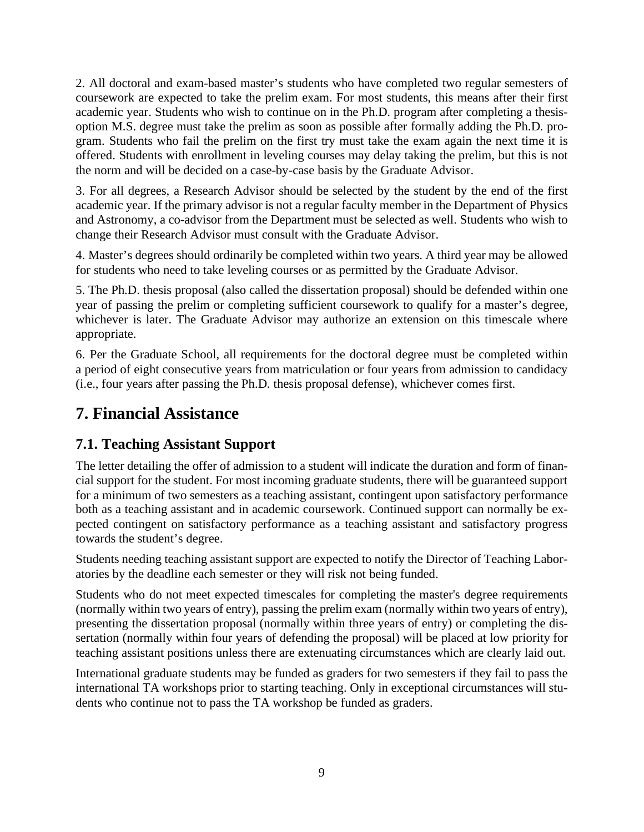2. All doctoral and exam-based master's students who have completed two regular semesters of coursework are expected to take the prelim exam. For most students, this means after their first academic year. Students who wish to continue on in the Ph.D. program after completing a thesisoption M.S. degree must take the prelim as soon as possible after formally adding the Ph.D. program. Students who fail the prelim on the first try must take the exam again the next time it is offered. Students with enrollment in leveling courses may delay taking the prelim, but this is not the norm and will be decided on a case-by-case basis by the Graduate Advisor.

3. For all degrees, a Research Advisor should be selected by the student by the end of the first academic year. If the primary advisor is not a regular faculty member in the Department of Physics and Astronomy, a co-advisor from the Department must be selected as well. Students who wish to change their Research Advisor must consult with the Graduate Advisor.

4. Master's degrees should ordinarily be completed within two years. A third year may be allowed for students who need to take leveling courses or as permitted by the Graduate Advisor.

5. The Ph.D. thesis proposal (also called the dissertation proposal) should be defended within one year of passing the prelim or completing sufficient coursework to qualify for a master's degree, whichever is later. The Graduate Advisor may authorize an extension on this timescale where appropriate.

6. Per the Graduate School, all requirements for the doctoral degree must be completed within a period of eight consecutive years from matriculation or four years from admission to candidacy (i.e., four years after passing the Ph.D. thesis proposal defense), whichever comes first.

## **7. Financial Assistance**

#### **7.1. Teaching Assistant Support**

The letter detailing the offer of admission to a student will indicate the duration and form of financial support for the student. For most incoming graduate students, there will be guaranteed support for a minimum of two semesters as a teaching assistant, contingent upon satisfactory performance both as a teaching assistant and in academic coursework. Continued support can normally be expected contingent on satisfactory performance as a teaching assistant and satisfactory progress towards the student's degree.

Students needing teaching assistant support are expected to notify the Director of Teaching Laboratories by the deadline each semester or they will risk not being funded.

Students who do not meet expected timescales for completing the master's degree requirements (normally within two years of entry), passing the prelim exam (normally within two years of entry), presenting the dissertation proposal (normally within three years of entry) or completing the dissertation (normally within four years of defending the proposal) will be placed at low priority for teaching assistant positions unless there are extenuating circumstances which are clearly laid out.

International graduate students may be funded as graders for two semesters if they fail to pass the international TA workshops prior to starting teaching. Only in exceptional circumstances will students who continue not to pass the TA workshop be funded as graders.